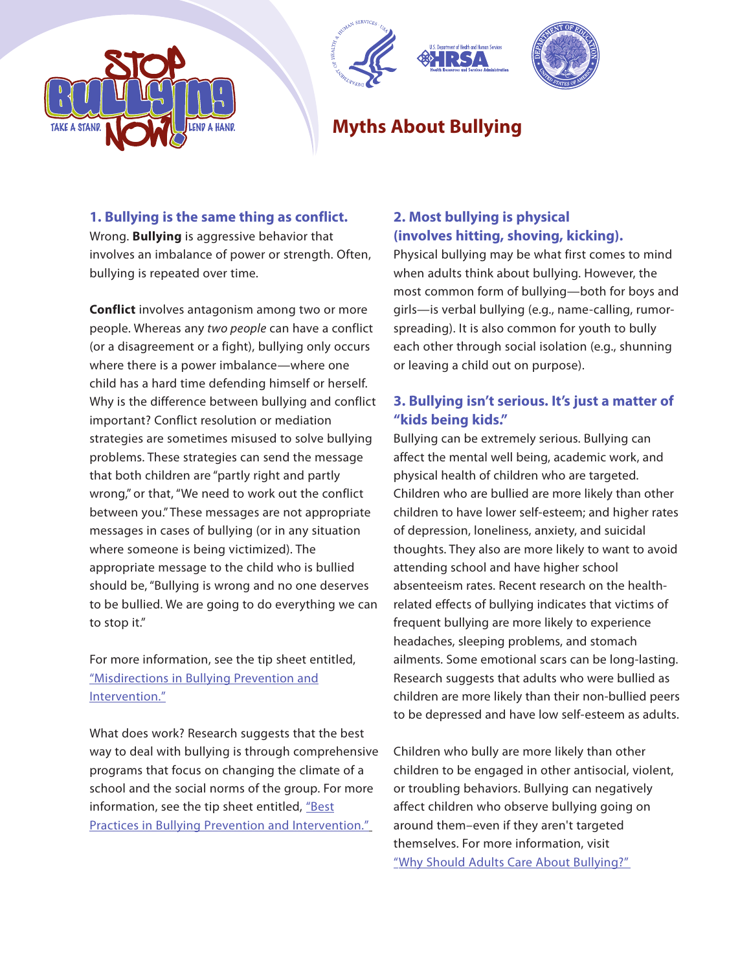





# **Myths About Bullying**

## **1. Bullying is the same thing as conflict.**

Wrong. **Bullying** is aggressive behavior that involves an imbalance of power or strength. Often, bullying is repeated over time.

**Conflict** involves antagonism among two or more people. Whereas any two people can have a conflict (or a disagreement or a fight), bullying only occurs where there is a power imbalance—where one child has a hard time defending himself or herself. Why is the difference between bullying and conflict important? Conflict resolution or mediation strategies are sometimes misused to solve bullying problems. These strategies can send the message that both children are "partly right and partly wrong," or that, "We need to work out the conflict between you." These messages are not appropriate messages in cases of bullying (or in any situation where someone is being victimized). The appropriate message to the child who is bullied should be, "Bullying is wrong and no one deserves to be bullied. We are going to do everything we can to stop it."

For more information, see the tip sheet entitled, ["Misdirections in Bullying Prevention and](http://www.stopbullyingnow.hrsa.gov/HHS_PSA/pdfs/SBN_Tip_5.pdf) [Intervention."](http://www.stopbullyingnow.hrsa.gov/HHS_PSA/pdfs/SBN_Tip_5.pdf)

What does work? Research suggests that the best way to deal with bullying is through comprehensive programs that focus on changing the climate of a school and the social norms of the group. For more information, see the tip sheet entitled, ["Best](http://www.stopbullyingnow.hrsa.gov/HHS_PSA/pdfs/SBN_Tip_23.pdf) [Practices in Bullying Prevention and Intervention."](http://www.stopbullyingnow.hrsa.gov/HHS_PSA/pdfs/SBN_Tip_23.pdf)

## **2. Most bullying is physical (involves hitting, shoving, kicking).**

Physical bullying may be what first comes to mind when adults think about bullying. However, the most common form of bullying—both for boys and girls—is verbal bullying (e.g., name-calling, rumorspreading). It is also common for youth to bully each other through social isolation (e.g., shunning or leaving a child out on purpose).

## **3. Bullying isn't serious. It's just a matter of "kids being kids."**

Bullying can be extremely serious. Bullying can affect the mental well being, academic work, and physical health of children who are targeted. Children who are bullied are more likely than other children to have lower self-esteem; and higher rates of depression, loneliness, anxiety, and suicidal thoughts. They also are more likely to want to avoid attending school and have higher school absenteeism rates. Recent research on the healthrelated effects of bullying indicates that victims of frequent bullying are more likely to experience headaches, sleeping problems, and stomach ailments. Some emotional scars can be long-lasting. Research suggests that adults who were bullied as children are more likely than their non-bullied peers to be depressed and have low self-esteem as adults.

Children who bully are more likely than other children to be engaged in other antisocial, violent, or troubling behaviors. Bullying can negatively affect children who observe bullying going on around them–even if they aren't targeted themselves. For more information, visit "Why [Should Adults Care](http://www.stopbullyingnow.hrsa.gov/adult/indexAdult.asp?Area=shouldadultscare) About Bullying?"